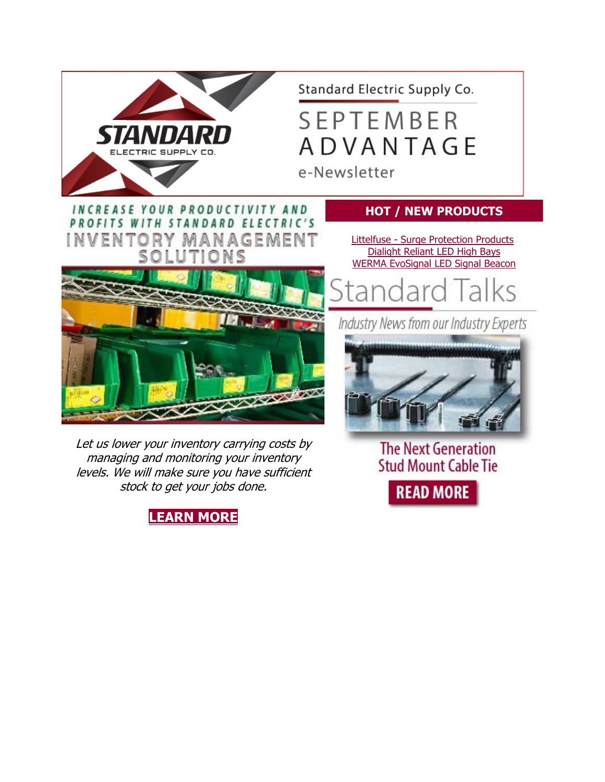

Let us lower your inventory carrying costs by managing and monitoring your inventory levels. We will make sure you have sufficient stock to get your jobs done.





**The Next Generation Stud Mount Cable Tie** 

**READ MORE**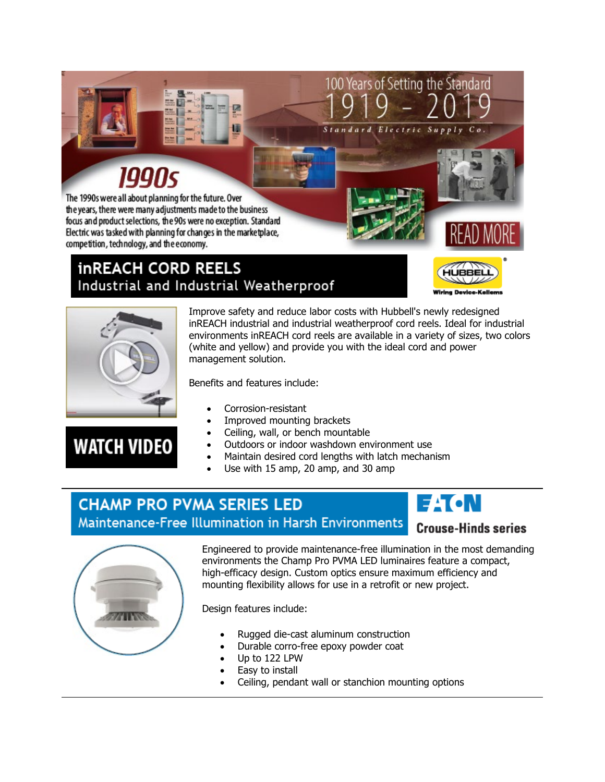### 1990s

The 1990s were all about planning for the future. Over the years, there were many adjustments made to the business focus and product selections, the 90s were no exception. Standard Electric was tasked with planning for changes in the marketplace, competition, technology, and the economy.

#### **inREACH CORD REELS** Industrial and Industrial Weatherproof



 $C$   $\circ$ 



**WATCH VIDEO** 

Improve safety and reduce labor costs with Hubbell's newly redesigned inREACH industrial and industrial weatherproof cord reels. Ideal for industrial environments inREACH cord reels are available in a variety of sizes, two colors (white and yellow) and provide you with the ideal cord and power management solution.

Standard

100 Years of Setting the Standard

Electric Supply

Benefits and features include:

- Corrosion-resistant
- Improved mounting brackets
- Ceiling, wall, or bench mountable
- Outdoors or indoor washdown environment use
- Maintain desired cord lengths with latch mechanism
- Use with 15 amp, 20 amp, and 30 amp

#### **CHAMP PRO PVMA SERIES LED** Maintenance-Free Illumination in Harsh Environments



### **Crouse-Hinds series**



Engineered to provide maintenance-free illumination in the most demanding environments the Champ Pro PVMA LED luminaires feature a compact, high-efficacy design. Custom optics ensure maximum efficiency and mounting flexibility allows for use in a retrofit or new project.

Design features include:

- Rugged die-cast aluminum construction
- Durable corro-free epoxy powder coat
- Up to 122 LPW
- Easy to install
- Ceiling, pendant wall or stanchion mounting options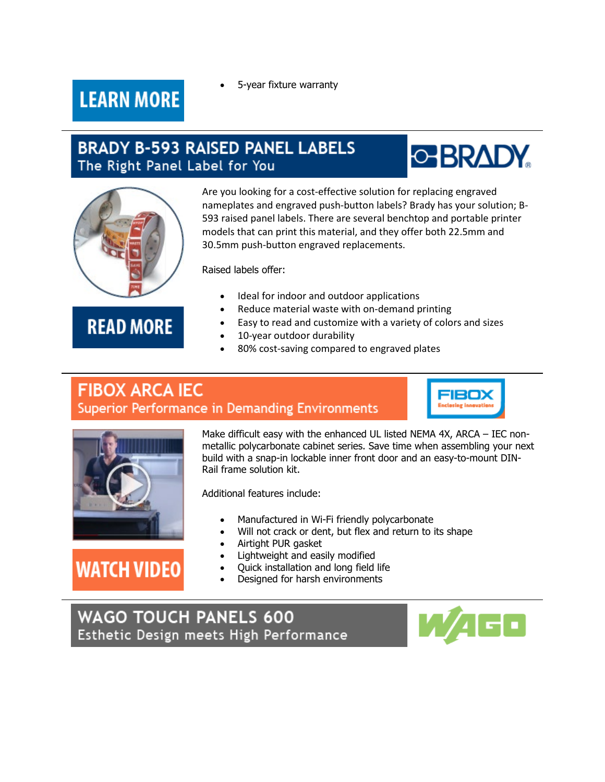• 5-year fixture warranty

### **LEARN MORE**

#### **BRADY B-593 RAISED PANEL LABELS** The Right Panel Label for You





#### **READ MORE**

Are you looking for a cost-effective solution for replacing engraved nameplates and engraved push-button labels? Brady has your solution; B-593 raised panel labels. There are several benchtop and portable printer models that can print this material, and they offer both 22.5mm and 30.5mm push-button engraved replacements.

Raised labels offer:

- Ideal for indoor and outdoor applications
- Reduce material waste with on-demand printing
- Easy to read and customize with a variety of colors and sizes
- 10-year outdoor durability
- 80% cost-saving compared to engraved plates

#### **FIBOX ARCA IEC Superior Performance in Demanding Environments**





## **WATCH VIDEO**

Make difficult easy with the enhanced UL listed NEMA 4X, ARCA – IEC nonmetallic polycarbonate cabinet series. Save time when assembling your next build with a snap-in lockable inner front door and an easy-to-mount DIN-Rail frame solution kit.

Additional features include:

- Manufactured in Wi-Fi friendly polycarbonate
- Will not crack or dent, but flex and return to its shape
- Airtight PUR gasket
- Lightweight and easily modified
- Quick installation and long field life
- Designed for harsh environments

#### **WAGO TOUCH PANELS 600** Esthetic Design meets High Performance